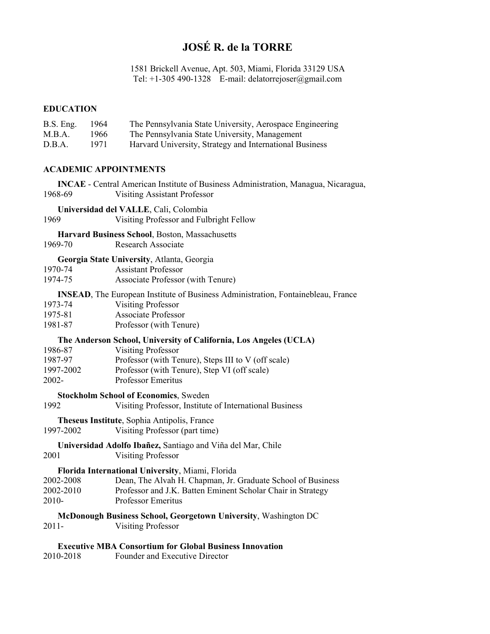### **JOSÉ R. de la TORRE**

1581 Brickell Avenue, Apt. 503, Miami, Florida 33129 USA Tel: +1-305 490-1328 E-mail: delatorrejoser@gmail.com

#### **EDUCATION**

| B.S. Eng. | -1964 | The Pennsylvania State University, Aerospace Engineering |
|-----------|-------|----------------------------------------------------------|
| M.B.A.    | 1966  | The Pennsylvania State University, Management            |
| D.B.A.    | 1971  | Harvard University, Strategy and International Business  |

#### **ACADEMIC APPOINTMENTS**

 **INCAE** - Central American Institute of Business Administration, Managua, Nicaragua, 1968-69 Visiting Assistant Professor

**Universidad del VALLE**, Cali, Colombia

1969 Visiting Professor and Fulbright Fellow

# **Harvard Business School, Boston, Massachusetts 1969-70** Research Associate

Research Associate

#### **Georgia State University**, Atlanta, Georgia

| 1970-74 | <b>Assistant Professor</b>        |
|---------|-----------------------------------|
| 1974-75 | Associate Professor (with Tenure) |

**INSEAD**, The European Institute of Business Administration, Fontainebleau, France

- 1973-74 Visiting Professor
- 1975-81 Associate Professor
- 1981-87 Professor (with Tenure)

#### **The Anderson School, University of California, Los Angeles (UCLA)**

 1986-87 Visiting Professor 1987-97 Professor (with Tenure), Steps III to V (off scale) 1997-2002 Professor (with Tenure), Step VI (off scale) 2002- Professor Emeritus

#### **Stockholm School of Economics**, Sweden

1992 Visiting Professor, Institute of International Business

 **Theseus Institute**, Sophia Antipolis, France 1997-2002 Visiting Professor (part time)

## **Universidad Adolfo Ibañez,** Santiago and Viña del Mar, Chile

2001 Visiting Professor

#### **Florida International University**, Miami, Florida

| 2002-2008 | Dean, The Alvah H. Chapman, Jr. Graduate School of Business |
|-----------|-------------------------------------------------------------|
| 2002-2010 | Professor and J.K. Batten Eminent Scholar Chair in Strategy |
| 2010-     | Professor Emeritus                                          |

#### **McDonough Business School, Georgetown University**, Washington DC

2011- Visiting Professor

#### **Executive MBA Consortium for Global Business Innovation**

2010-2018 Founder and Executive Director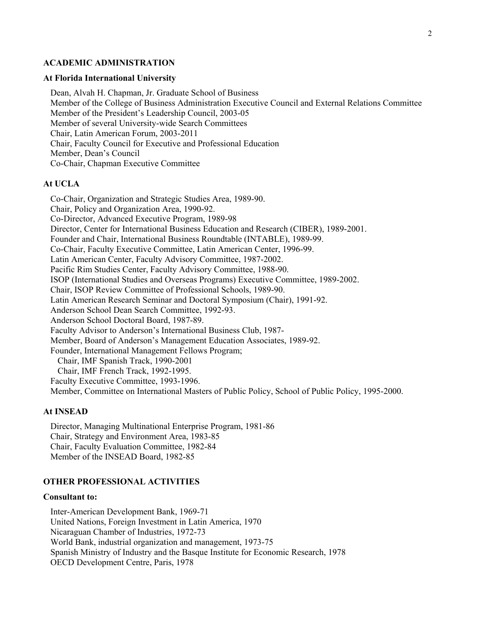#### **ACADEMIC ADMINISTRATION**

#### **At Florida International University**

 Dean, Alvah H. Chapman, Jr. Graduate School of Business Member of the College of Business Administration Executive Council and External Relations Committee Member of the President's Leadership Council, 2003-05 Member of several University-wide Search Committees Chair, Latin American Forum, 2003-2011 Chair, Faculty Council for Executive and Professional Education Member, Dean's Council Co-Chair, Chapman Executive Committee

#### **At UCLA**

 Co-Chair, Organization and Strategic Studies Area, 1989-90. Chair, Policy and Organization Area, 1990-92. Co-Director, Advanced Executive Program, 1989-98 Director, Center for International Business Education and Research (CIBER), 1989-2001. Founder and Chair, International Business Roundtable (INTABLE), 1989-99. Co-Chair, Faculty Executive Committee, Latin American Center, 1996-99. Latin American Center, Faculty Advisory Committee, 1987-2002. Pacific Rim Studies Center, Faculty Advisory Committee, 1988-90. ISOP (International Studies and Overseas Programs) Executive Committee, 1989-2002. Chair, ISOP Review Committee of Professional Schools, 1989-90. Latin American Research Seminar and Doctoral Symposium (Chair), 1991-92. Anderson School Dean Search Committee, 1992-93. Anderson School Doctoral Board, 1987-89. Faculty Advisor to Anderson's International Business Club, 1987- Member, Board of Anderson's Management Education Associates, 1989-92. Founder, International Management Fellows Program; Chair, IMF Spanish Track, 1990-2001 Chair, IMF French Track, 1992-1995. Faculty Executive Committee, 1993-1996. Member, Committee on International Masters of Public Policy, School of Public Policy, 1995-2000.

#### **At INSEAD**

 Director, Managing Multinational Enterprise Program, 1981-86 Chair, Strategy and Environment Area, 1983-85 Chair, Faculty Evaluation Committee, 1982-84 Member of the INSEAD Board, 1982-85

#### **OTHER PROFESSIONAL ACTIVITIES**

#### **Consultant to:**

 Inter-American Development Bank, 1969-71 United Nations, Foreign Investment in Latin America, 1970 Nicaraguan Chamber of Industries, 1972-73 World Bank, industrial organization and management, 1973-75 Spanish Ministry of Industry and the Basque Institute for Economic Research, 1978 OECD Development Centre, Paris, 1978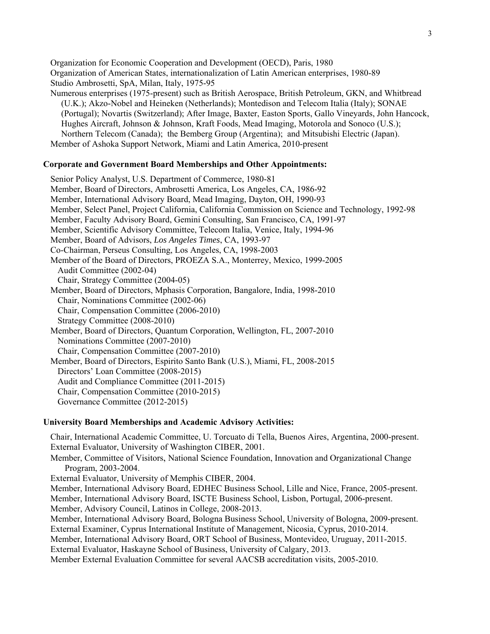Organization for Economic Cooperation and Development (OECD), Paris, 1980 Organization of American States, internationalization of Latin American enterprises, 1980-89 Studio Ambrosetti, SpA, Milan, Italy, 1975-95 Numerous enterprises (1975-present) such as British Aerospace, British Petroleum, GKN, and Whitbread (U.K.); Akzo-Nobel and Heineken (Netherlands); Montedison and Telecom Italia (Italy); SONAE (Portugal); Novartis (Switzerland); After Image, Baxter, Easton Sports, Gallo Vineyards, John Hancock, Hughes Aircraft, Johnson & Johnson, Kraft Foods, Mead Imaging, Motorola and Sonoco (U.S.); Northern Telecom (Canada); the Bemberg Group (Argentina); and Mitsubishi Electric (Japan).

Member of Ashoka Support Network, Miami and Latin America, 2010-present

#### **Corporate and Government Board Memberships and Other Appointments:**

 Senior Policy Analyst, U.S. Department of Commerce, 1980-81 Member, Board of Directors, Ambrosetti America, Los Angeles, CA, 1986-92 Member, International Advisory Board, Mead Imaging, Dayton, OH, 1990-93 Member, Select Panel, Project California, California Commission on Science and Technology, 1992-98 Member, Faculty Advisory Board, Gemini Consulting, San Francisco, CA, 1991-97 Member, Scientific Advisory Committee, Telecom Italia, Venice, Italy, 1994-96 Member, Board of Advisors, *Los Angeles Times*, CA, 1993-97 Co-Chairman, Perseus Consulting, Los Angeles, CA, 1998-2003 Member of the Board of Directors, PROEZA S.A., Monterrey, Mexico, 1999-2005 Audit Committee (2002-04) Chair, Strategy Committee (2004-05) Member, Board of Directors, Mphasis Corporation, Bangalore, India, 1998-2010 Chair, Nominations Committee (2002-06) Chair, Compensation Committee (2006-2010) Strategy Committee (2008-2010) Member, Board of Directors, Quantum Corporation, Wellington, FL, 2007-2010 Nominations Committee (2007-2010) Chair, Compensation Committee (2007-2010) Member, Board of Directors, Espirito Santo Bank (U.S.), Miami, FL, 2008-2015 Directors' Loan Committee (2008-2015) Audit and Compliance Committee (2011-2015) Chair, Compensation Committee (2010-2015) Governance Committee (2012-2015)

#### **University Board Memberships and Academic Advisory Activities:**

 Chair, International Academic Committee, U. Torcuato di Tella, Buenos Aires, Argentina, 2000-present. External Evaluator, University of Washington CIBER, 2001.

 Member, Committee of Visitors, National Science Foundation, Innovation and Organizational Change Program, 2003-2004.

External Evaluator, University of Memphis CIBER, 2004.

Member, International Advisory Board, EDHEC Business School, Lille and Nice, France, 2005-present.

Member, International Advisory Board, ISCTE Business School, Lisbon, Portugal, 2006-present.

Member, Advisory Council, Latinos in College, 2008-2013.

 Member, International Advisory Board, Bologna Business School, University of Bologna, 2009-present. External Examiner, Cyprus International Institute of Management, Nicosia, Cyprus, 2010-2014.

Member, International Advisory Board, ORT School of Business, Montevideo, Uruguay, 2011-2015.

External Evaluator, Haskayne School of Business, University of Calgary, 2013.

Member External Evaluation Committee for several AACSB accreditation visits, 2005-2010.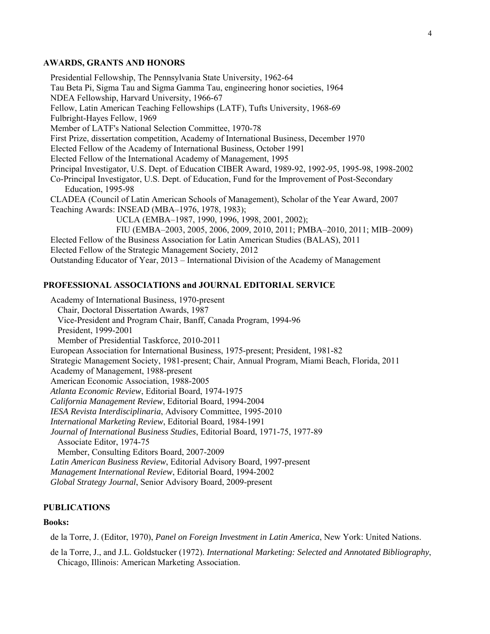#### **AWARDS, GRANTS AND HONORS**

 Presidential Fellowship, The Pennsylvania State University, 1962-64 Tau Beta Pi, Sigma Tau and Sigma Gamma Tau, engineering honor societies, 1964 NDEA Fellowship, Harvard University, 1966-67 Fellow, Latin American Teaching Fellowships (LATF), Tufts University, 1968-69 Fulbright-Hayes Fellow, 1969 Member of LATF's National Selection Committee, 1970-78 First Prize, dissertation competition, Academy of International Business, December 1970 Elected Fellow of the Academy of International Business, October 1991 Elected Fellow of the International Academy of Management, 1995 Principal Investigator, U.S. Dept. of Education CIBER Award, 1989-92, 1992-95, 1995-98, 1998-2002 Co-Principal Investigator, U.S. Dept. of Education, Fund for the Improvement of Post-Secondary Education, 1995-98 CLADEA (Council of Latin American Schools of Management), Scholar of the Year Award, 2007 Teaching Awards: INSEAD (MBA–1976, 1978, 1983); UCLA (EMBA–1987, 1990, 1996, 1998, 2001, 2002); FIU (EMBA–2003, 2005, 2006, 2009, 2010, 2011; PMBA–2010, 2011; MIB–2009) Elected Fellow of the Business Association for Latin American Studies (BALAS), 2011 Elected Fellow of the Strategic Management Society, 2012 Outstanding Educator of Year, 2013 – International Division of the Academy of Management

#### **PROFESSIONAL ASSOCIATIONS and JOURNAL EDITORIAL SERVICE**

 Academy of International Business, 1970-present Chair, Doctoral Dissertation Awards, 1987 Vice-President and Program Chair, Banff, Canada Program, 1994-96 President, 1999-2001 Member of Presidential Taskforce, 2010-2011 European Association for International Business, 1975-present; President, 1981-82 Strategic Management Society, 1981-present; Chair, Annual Program, Miami Beach, Florida, 2011 Academy of Management, 1988-present American Economic Association, 1988-2005  *Atlanta Economic Review*, Editorial Board, 1974-1975 *California Management Review*, Editorial Board, 1994-2004 *IESA Revista Interdisciplinaria*, Advisory Committee, 1995-2010  *International Marketing Review*, Editorial Board, 1984-1991 *Journal of International Business Studies*, Editorial Board, 1971-75, 1977-89 Associate Editor, 1974-75 Member, Consulting Editors Board, 2007-2009 *Latin American Business Review*, Editorial Advisory Board, 1997-present *Management International Review*, Editorial Board, 1994-2002  *Global Strategy Journal*, Senior Advisory Board, 2009-present

#### **PUBLICATIONS**

#### **Books:**

de la Torre, J. (Editor, 1970), *Panel on Foreign Investment in Latin America*, New York: United Nations.

de la Torre, J., and J.L. Goldstucker (1972). *International Marketing: Selected and Annotated Bibliography*, Chicago, Illinois: American Marketing Association.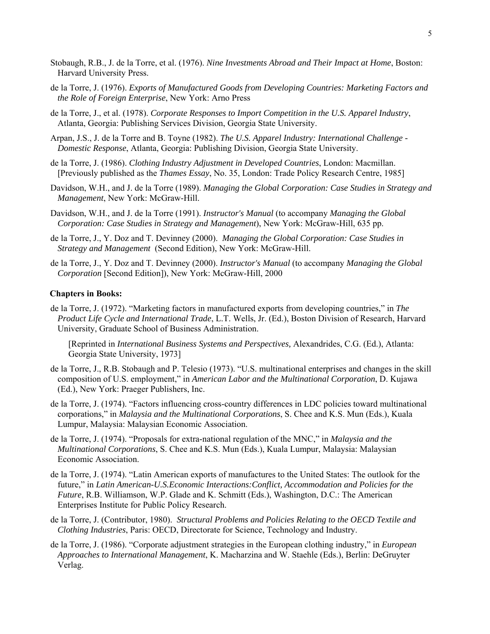- Stobaugh, R.B., J. de la Torre, et al. (1976). *Nine Investments Abroad and Their Impact at Home*, Boston: Harvard University Press.
- de la Torre, J. (1976). *Exports of Manufactured Goods from Developing Countries: Marketing Factors and the Role of Foreign Enterprise*, New York: Arno Press
- de la Torre, J., et al. (1978). *Corporate Responses to Import Competition in the U.S. Apparel Industry*, Atlanta, Georgia: Publishing Services Division, Georgia State University.
- Arpan, J.S., J. de la Torre and B. Toyne (1982). *The U.S. Apparel Industry: International Challenge Domestic Response*, Atlanta, Georgia: Publishing Division, Georgia State University.
- de la Torre, J. (1986). *Clothing Industry Adjustment in Developed Countries*, London: Macmillan. [Previously published as the *Thames Essay*, No. 35, London: Trade Policy Research Centre, 1985]
- Davidson, W.H., and J. de la Torre (1989). *Managing the Global Corporation: Case Studies in Strategy and Management*, New York: McGraw-Hill.
- Davidson, W.H., and J. de la Torre (1991). *Instructor's Manual* (to accompany *Managing the Global Corporation: Case Studies in Strategy and Management*), New York: McGraw-Hill, 635 pp.
- de la Torre, J., Y. Doz and T. Devinney (2000). *Managing the Global Corporation: Case Studies in Strategy and Management* (Second Edition), New York: McGraw-Hill.
- de la Torre, J., Y. Doz and T. Devinney (2000). *Instructor's Manual* (to accompany *Managing the Global Corporation* [Second Edition]), New York: McGraw-Hill, 2000

#### **Chapters in Books:**

de la Torre, J. (1972). "Marketing factors in manufactured exports from developing countries," in *The Product Life Cycle and International Trade*, L.T. Wells, Jr. (Ed.), Boston Division of Research, Harvard University, Graduate School of Business Administration.

[Reprinted in *International Business Systems and Perspectives,* Alexandrides, C.G. (Ed.), Atlanta: Georgia State University, 1973]

- de la Torre, J., R.B. Stobaugh and P. Telesio (1973). "U.S. multinational enterprises and changes in the skill composition of U.S. employment," in *American Labor and the Multinational Corporation*, D. Kujawa (Ed.), New York: Praeger Publishers, Inc.
- de la Torre, J. (1974). "Factors influencing cross-country differences in LDC policies toward multinational corporations," in *Malaysia and the Multinational Corporations*, S. Chee and K.S. Mun (Eds.), Kuala Lumpur, Malaysia: Malaysian Economic Association.
- de la Torre, J. (1974). "Proposals for extra-national regulation of the MNC," in *Malaysia and the Multinational Corporations*, S. Chee and K.S. Mun (Eds.), Kuala Lumpur, Malaysia: Malaysian Economic Association.
- de la Torre, J. (1974). "Latin American exports of manufactures to the United States: The outlook for the future," in *Latin American-U.S.Economic Interactions:Conflict, Accommodation and Policies for the Future*, R.B. Williamson, W.P. Glade and K. Schmitt (Eds.), Washington, D.C.: The American Enterprises Institute for Public Policy Research.
- de la Torre, J. (Contributor, 1980). *Structural Problems and Policies Relating to the OECD Textile and Clothing Industries*, Paris: OECD, Directorate for Science, Technology and Industry.
- de la Torre, J. (1986). "Corporate adjustment strategies in the European clothing industry," in *European Approaches to International Management*, K. Macharzina and W. Staehle (Eds.), Berlin: DeGruyter Verlag.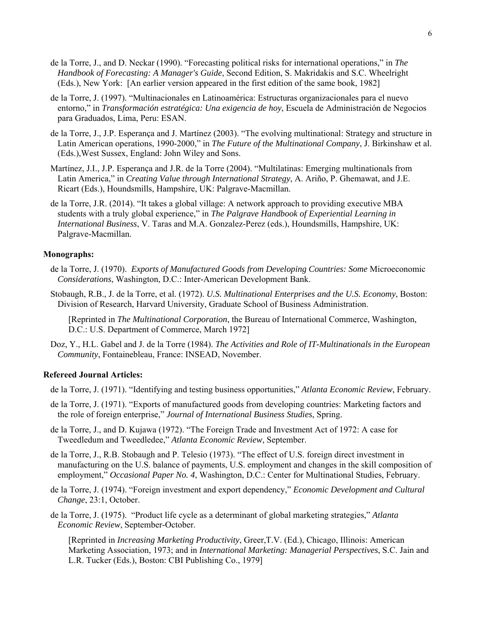- de la Torre, J., and D. Neckar (1990). "Forecasting political risks for international operations," in *The Handbook of Forecasting: A Manager's Guide*, Second Edition, S. Makridakis and S.C. Wheelright (Eds.), New York: [An earlier version appeared in the first edition of the same book, 1982]
- de la Torre, J. (1997). "Multinacionales en Latinoamérica: Estructuras organizacionales para el nuevo entorno," in *Transformación estratégica: Una exigencia de hoy*, Escuela de Administración de Negocios para Graduados, Lima, Peru: ESAN.
- de la Torre, J., J.P. Esperança and J. Martínez (2003). "The evolving multinational: Strategy and structure in Latin American operations, 1990-2000," in *The Future of the Multinational Company*, J. Birkinshaw et al. (Eds.),West Sussex, England: John Wiley and Sons.
- Martínez, J.I., J.P. Esperança and J.R. de la Torre (2004). "Multilatinas: Emerging multinationals from Latin America," in *Creating Value through International Strategy*, A. Ariño, P. Ghemawat, and J.E. Ricart (Eds.), Houndsmills, Hampshire, UK: Palgrave-Macmillan.
- de la Torre, J.R. (2014). "It takes a global village: A network approach to providing executive MBA students with a truly global experience," in *The Palgrave Handbook of Experiential Learning in International Business*, V. Taras and M.A. Gonzalez-Perez (eds.), Houndsmills, Hampshire, UK: Palgrave-Macmillan.

#### **Monographs:**

- de la Torre, J. (1970). *Exports of Manufactured Goods from Developing Countries: Some* Microeconomic *Considerations*, Washington, D.C.: Inter-American Development Bank.
- Stobaugh, R.B., J. de la Torre, et al. (1972). *U.S. Multinational Enterprises and the U.S. Economy*, Boston: Division of Research, Harvard University, Graduate School of Business Administration.

[Reprinted in *The Multinational Corporation*, the Bureau of International Commerce, Washington, D.C.: U.S. Department of Commerce, March 1972]

Doz, Y., H.L. Gabel and J. de la Torre (1984). *The Activities and Role of IT-Multinationals in the European Community*, Fontainebleau, France: INSEAD, November.

#### **Refereed Journal Articles:**

- de la Torre, J. (1971). "Identifying and testing business opportunities," *Atlanta Economic Review*, February.
- de la Torre, J. (1971). "Exports of manufactured goods from developing countries: Marketing factors and the role of foreign enterprise," *Journal of International Business Studies*, Spring.
- de la Torre, J., and D. Kujawa (1972). "The Foreign Trade and Investment Act of 1972: A case for Tweedledum and Tweedledee," *Atlanta Economic Review*, September.
- de la Torre, J., R.B. Stobaugh and P. Telesio (1973). "The effect of U.S. foreign direct investment in manufacturing on the U.S. balance of payments, U.S. employment and changes in the skill composition of employment," *Occasional Paper No. 4*, Washington, D.C.: Center for Multinational Studies, February.
- de la Torre, J. (1974). "Foreign investment and export dependency," *Economic Development and Cultural Change*, 23:1, October.
- de la Torre, J. (1975). "Product life cycle as a determinant of global marketing strategies," *Atlanta Economic Review*, September-October.

[Reprinted in *Increasing Marketing Productivity*, Greer, T.V. (Ed.), Chicago, Illinois: American Marketing Association, 1973; and in *International Marketing: Managerial Perspectives*, S.C. Jain and L.R. Tucker (Eds.), Boston: CBI Publishing Co., 1979]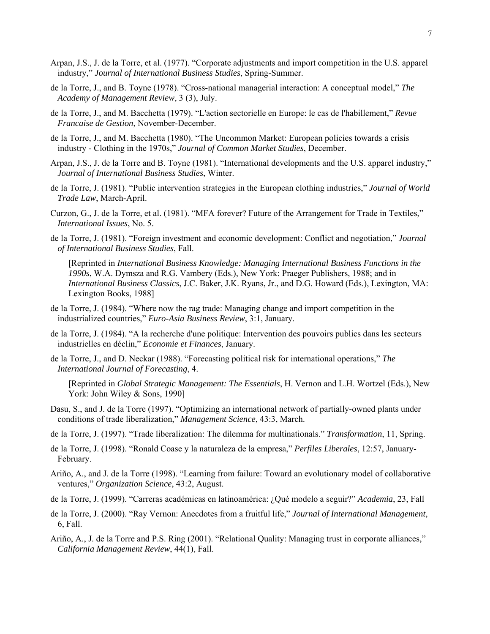- Arpan, J.S., J. de la Torre, et al. (1977). "Corporate adjustments and import competition in the U.S. apparel industry," *Journal of International Business Studies*, Spring-Summer.
- de la Torre, J., and B. Toyne (1978). "Cross-national managerial interaction: A conceptual model," *The Academy of Management Review*, 3 (3), July.
- de la Torre, J., and M. Bacchetta (1979). "L'action sectorielle en Europe: le cas de l'habillement," *Revue Francaise de Gestion*, November-December.
- de la Torre, J., and M. Bacchetta (1980). "The Uncommon Market: European policies towards a crisis industry - Clothing in the 1970s," *Journal of Common Market Studies*, December.
- Arpan, J.S., J. de la Torre and B. Toyne (1981). "International developments and the U.S. apparel industry," *Journal of International Business Studies*, Winter.
- de la Torre, J. (1981). "Public intervention strategies in the European clothing industries," *Journal of World Trade Law*, March-April.
- Curzon, G., J. de la Torre, et al. (1981). "MFA forever? Future of the Arrangement for Trade in Textiles," *International Issues*, No. 5.
- de la Torre, J. (1981). "Foreign investment and economic development: Conflict and negotiation," *Journal of International Business Studies*, Fall.

[Reprinted in *International Business Knowledge: Managing International Business Functions in the 1990s*, W.A. Dymsza and R.G. Vambery (Eds.), New York: Praeger Publishers, 1988; and in *International Business Classics*, J.C. Baker, J.K. Ryans, Jr., and D.G. Howard (Eds.), Lexington, MA: Lexington Books, 1988]

- de la Torre, J. (1984). "Where now the rag trade: Managing change and import competition in the industrialized countries," *Euro-Asia Business Review*, 3:1, January.
- de la Torre, J. (1984). "A la recherche d'une politique: Intervention des pouvoirs publics dans les secteurs industrielles en déclin," *Economie et Finances*, January.
- de la Torre, J., and D. Neckar (1988). "Forecasting political risk for international operations," *The International Journal of Forecasting*, 4.
	- [Reprinted in *Global Strategic Management: The Essentials*, H. Vernon and L.H. Wortzel (Eds.), New York: John Wiley & Sons, 1990]
- Dasu, S., and J. de la Torre (1997). "Optimizing an international network of partially-owned plants under conditions of trade liberalization," *Management Science*, 43:3, March.
- de la Torre, J. (1997). "Trade liberalization: The dilemma for multinationals." *Transformation*, 11, Spring.
- de la Torre, J. (1998). "Ronald Coase y la naturaleza de la empresa," *Perfiles Liberales*, 12:57, January-February.
- Ariño, A., and J. de la Torre (1998). "Learning from failure: Toward an evolutionary model of collaborative ventures," *Organization Science*, 43:2, August.
- de la Torre, J. (1999). "Carreras académicas en latinoamérica: ¿Qué modelo a seguir?" *Academia*, 23, Fall
- de la Torre, J. (2000). "Ray Vernon: Anecdotes from a fruitful life," *Journal of International Management*, 6, Fall.
- Ariño, A., J. de la Torre and P.S. Ring (2001). "Relational Quality: Managing trust in corporate alliances," *California Management Review*, 44(1), Fall.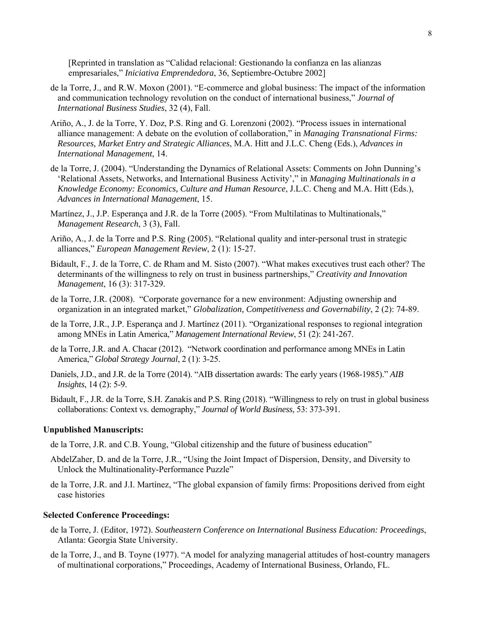[Reprinted in translation as "Calidad relacional: Gestionando la confianza en las alianzas empresariales," *Iniciativa Emprendedora*, 36, Septiembre-Octubre 2002]

- de la Torre, J., and R.W. Moxon (2001). "E-commerce and global business: The impact of the information and communication technology revolution on the conduct of international business," *Journal of International Business Studies*, 32 (4), Fall.
- Ariño, A., J. de la Torre, Y. Doz, P.S. Ring and G. Lorenzoni (2002). "Process issues in international alliance management: A debate on the evolution of collaboration," in *Managing Transnational Firms: Resources, Market Entry and Strategic Alliances*, M.A. Hitt and J.L.C. Cheng (Eds.), *Advances in International Management*, 14.
- de la Torre, J. (2004). "Understanding the Dynamics of Relational Assets: Comments on John Dunning's 'Relational Assets, Networks, and International Business Activity'," in *Managing Multinationals in a Knowledge Economy: Economics, Culture and Human Resource*, J.L.C. Cheng and M.A. Hitt (Eds.), *Advances in International Management*, 15.
- Martínez, J., J.P. Esperança and J.R. de la Torre (2005). "From Multilatinas to Multinationals," *Management Research*, 3 (3), Fall.
- Ariño, A., J. de la Torre and P.S. Ring (2005). "Relational quality and inter-personal trust in strategic alliances," *European Management Review*, 2 (1): 15-27.
- Bidault, F., J. de la Torre, C. de Rham and M. Sisto (2007). "What makes executives trust each other? The determinants of the willingness to rely on trust in business partnerships," *Creativity and Innovation Management*, 16 (3): 317-329.
- de la Torre, J.R. (2008). "Corporate governance for a new environment: Adjusting ownership and organization in an integrated market," *Globalization, Competitiveness and Governability*, 2 (2): 74-89.
- de la Torre, J.R., J.P. Esperança and J. Martínez (2011). "Organizational responses to regional integration among MNEs in Latin America," *Management International Review*, 51 (2): 241-267.
- de la Torre, J.R. and A. Chacar (2012). "Network coordination and performance among MNEs in Latin America," *Global Strategy Journal*, 2 (1): 3-25.
- Daniels, J.D., and J.R. de la Torre (2014). "AIB dissertation awards: The early years (1968-1985)." *AIB Insights*, 14 (2): 5-9.
- Bidault, F., J.R. de la Torre, S.H. Zanakis and P.S. Ring (2018). "Willingness to rely on trust in global business collaborations: Context vs. demography," *Journal of World Business*, 53: 373-391.

#### **Unpublished Manuscripts:**

- de la Torre, J.R. and C.B. Young, "Global citizenship and the future of business education"
- AbdelZaher, D. and de la Torre, J.R., "Using the Joint Impact of Dispersion, Density, and Diversity to Unlock the Multinationality-Performance Puzzle"
- de la Torre, J.R. and J.I. Martínez, "The global expansion of family firms: Propositions derived from eight case histories

#### **Selected Conference Proceedings:**

- de la Torre, J. (Editor, 1972). *Southeastern Conference on International Business Education: Proceedings*, Atlanta: Georgia State University.
- de la Torre, J., and B. Toyne (1977). "A model for analyzing managerial attitudes of host-country managers of multinational corporations," Proceedings, Academy of International Business, Orlando, FL.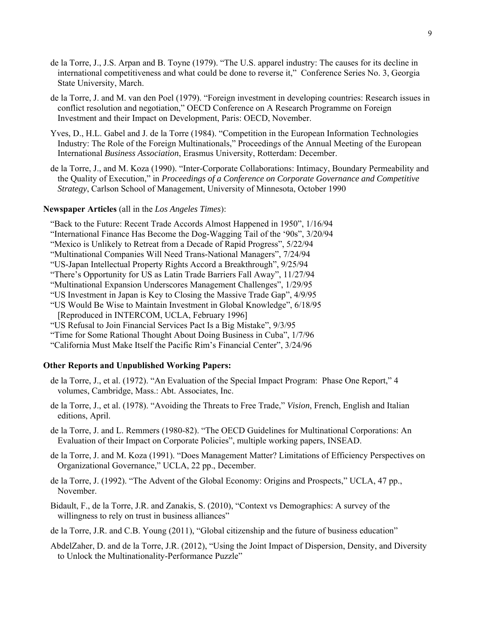- de la Torre, J., J.S. Arpan and B. Toyne (1979). "The U.S. apparel industry: The causes for its decline in international competitiveness and what could be done to reverse it," Conference Series No. 3, Georgia State University, March.
- de la Torre, J. and M. van den Poel (1979). "Foreign investment in developing countries: Research issues in conflict resolution and negotiation," OECD Conference on A Research Programme on Foreign Investment and their Impact on Development, Paris: OECD, November.
- Yves, D., H.L. Gabel and J. de la Torre (1984). "Competition in the European Information Technologies Industry: The Role of the Foreign Multinationals," Proceedings of the Annual Meeting of the European International *Business Association*, Erasmus University, Rotterdam: December.
- de la Torre, J., and M. Koza (1990). "Inter-Corporate Collaborations: Intimacy, Boundary Permeability and the Quality of Execution," in *Proceedings of a Conference on Corporate Governance and Competitive Strategy*, Carlson School of Management, University of Minnesota, October 1990

#### **Newspaper Articles** (all in the *Los Angeles Times*):

 "Back to the Future: Recent Trade Accords Almost Happened in 1950", 1/16/94 "International Finance Has Become the Dog-Wagging Tail of the '90s", 3/20/94 "Mexico is Unlikely to Retreat from a Decade of Rapid Progress", 5/22/94 "Multinational Companies Will Need Trans-National Managers", 7/24/94 "US-Japan Intellectual Property Rights Accord a Breakthrough", 9/25/94 "There's Opportunity for US as Latin Trade Barriers Fall Away", 11/27/94 "Multinational Expansion Underscores Management Challenges", 1/29/95 "US Investment in Japan is Key to Closing the Massive Trade Gap", 4/9/95 "US Would Be Wise to Maintain Investment in Global Knowledge", 6/18/95 [Reproduced in INTERCOM, UCLA, February 1996] "US Refusal to Join Financial Services Pact Is a Big Mistake", 9/3/95 "Time for Some Rational Thought About Doing Business in Cuba", 1/7/96 "California Must Make Itself the Pacific Rim's Financial Center", 3/24/96

#### **Other Reports and Unpublished Working Papers:**

- de la Torre, J., et al. (1972). "An Evaluation of the Special Impact Program: Phase One Report," 4 volumes, Cambridge, Mass.: Abt. Associates, Inc.
- de la Torre, J., et al. (1978). "Avoiding the Threats to Free Trade," *Vision*, French, English and Italian editions, April.
- de la Torre, J. and L. Remmers (1980-82). "The OECD Guidelines for Multinational Corporations: An Evaluation of their Impact on Corporate Policies", multiple working papers, INSEAD.
- de la Torre, J. and M. Koza (1991). "Does Management Matter? Limitations of Efficiency Perspectives on Organizational Governance," UCLA, 22 pp., December.
- de la Torre, J. (1992). "The Advent of the Global Economy: Origins and Prospects," UCLA, 47 pp., November.
- Bidault, F., de la Torre, J.R. and Zanakis, S. (2010), "Context vs Demographics: A survey of the willingness to rely on trust in business alliances"
- de la Torre, J.R. and C.B. Young (2011), "Global citizenship and the future of business education"
- AbdelZaher, D. and de la Torre, J.R. (2012), "Using the Joint Impact of Dispersion, Density, and Diversity to Unlock the Multinationality-Performance Puzzle"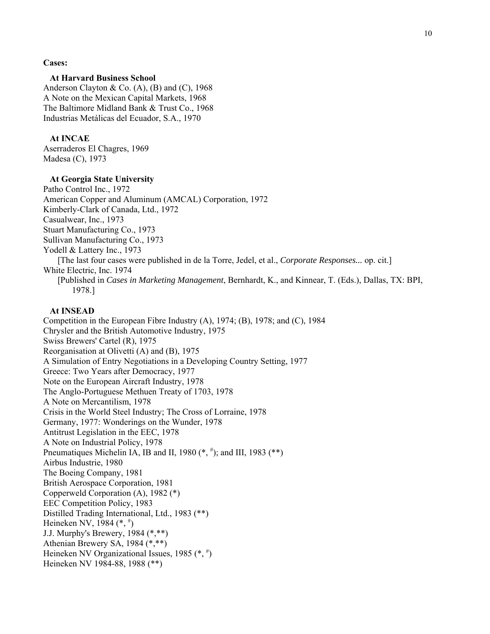**Cases:**

#### **At Harvard Business School**

 Anderson Clayton & Co. (A), (B) and (C), 1968 A Note on the Mexican Capital Markets, 1968 The Baltimore Midland Bank & Trust Co., 1968 Industrias Metálicas del Ecuador, S.A., 1970

#### **At INCAE**

 Aserraderos El Chagres, 1969 Madesa (C), 1973

#### **At Georgia State University**

 Patho Control Inc., 1972 American Copper and Aluminum (AMCAL) Corporation, 1972 Kimberly-Clark of Canada, Ltd., 1972 Casualwear, Inc., 1973 Stuart Manufacturing Co., 1973 Sullivan Manufacturing Co., 1973 Yodell & Lattery Inc., 1973 [The last four cases were published in de la Torre, Jedel, et al., *Corporate Responses...* op. cit.] White Electric, Inc. 1974 [Published in *Cases in Marketing Management*, Bernhardt, K., and Kinnear, T. (Eds.), Dallas, TX: BPI, 1978.]

#### **At INSEAD**

 Competition in the European Fibre Industry (A), 1974; (B), 1978; and (C), 1984 Chrysler and the British Automotive Industry, 1975 Swiss Brewers' Cartel (R), 1975 Reorganisation at Olivetti (A) and (B), 1975 A Simulation of Entry Negotiations in a Developing Country Setting, 1977 Greece: Two Years after Democracy, 1977 Note on the European Aircraft Industry, 1978 The Anglo-Portuguese Methuen Treaty of 1703, 1978 A Note on Mercantilism, 1978 Crisis in the World Steel Industry; The Cross of Lorraine, 1978 Germany, 1977: Wonderings on the Wunder, 1978 Antitrust Legislation in the EEC, 1978 A Note on Industrial Policy, 1978 Pneumatiques Michelin IA, IB and II, 1980  $(*, *')$ ; and III, 1983  $(**)$  Airbus Industrie, 1980 The Boeing Company, 1981 British Aerospace Corporation, 1981 Copperweld Corporation (A), 1982 (\*) EEC Competition Policy, 1983 Distilled Trading International, Ltd., 1983 (\*\*) Heineken NV, 1984  $(*,*)$  J.J. Murphy's Brewery, 1984 (\*,\*\*) Athenian Brewery SA, 1984 (\*,\*\*) Heineken NV Organizational Issues, 1985  $(*,*)$ Heineken NV 1984-88, 1988 (\*\*)